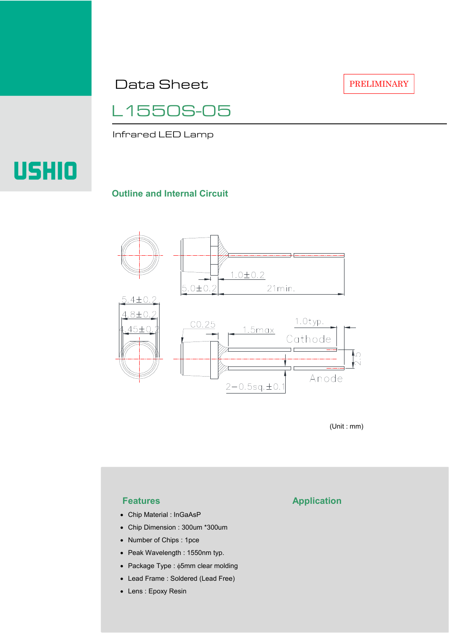Data Sheet

PRELIMINARY

L1550S-05

Infrared LED Lamp

# USHIO

#### **Outline and Internal Circuit**



(Unit : mm)

- Chip Material : InGaAsP
- Chip Dimension : 300um \*300um
- Number of Chips : 1pce
- Peak Wavelength : 1550nm typ.
- Package Type : φ5mm clear molding
- Lead Frame : Soldered (Lead Free)
- Lens : Epoxy Resin

## **Features Application**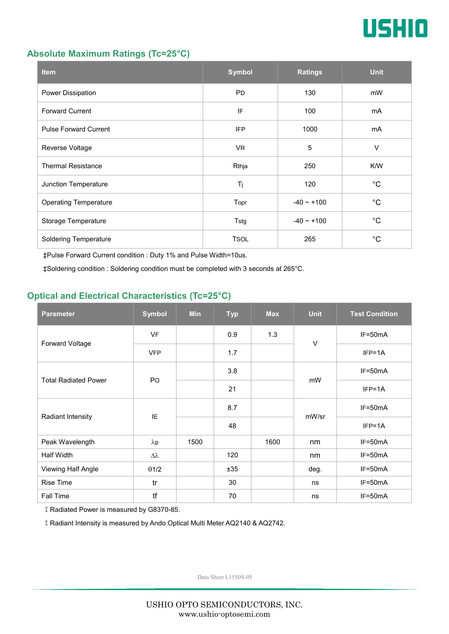

#### **Absolute Maximum Ratings (Tc=25°C)**

| <b>Item</b>                  | <b>Symbol</b> | <b>Ratings</b>  | <b>Unit</b> |
|------------------------------|---------------|-----------------|-------------|
| Power Dissipation            | <b>PD</b>     | 130             | mW          |
| <b>Forward Current</b>       | IF            | 100             | mA          |
| <b>Pulse Forward Current</b> | <b>IFP</b>    | 1000            | mA          |
| Reverse Voltage              | VR.           | $\overline{5}$  | $\vee$      |
| <b>Thermal Resistance</b>    | Rthja         | 250             | K/W         |
| Junction Temperature         | Tj            | 120             | $^{\circ}C$ |
| <b>Operating Temperature</b> | Topr          | $-40 \sim +100$ | $^{\circ}C$ |
| Storage Temperature          | Tstg          | $-40 - +100$    | $^{\circ}C$ |
| <b>Soldering Temperature</b> | <b>TSOL</b>   | 265             | $^{\circ}C$ |

‡Pulse Forward Current condition : Duty 1% and Pulse Width=10us.

‡Soldering condition : Soldering condition must be completed with 3 seconds at 265°C.

### **Optical and Electrical Characteristics (Tc=25°C)**

| <b>Parameter</b>            | <b>Symbol</b>  | <b>Min</b> | <b>Typ</b> | <b>Max</b> | <b>Unit</b> | <b>Test Condition</b> |
|-----------------------------|----------------|------------|------------|------------|-------------|-----------------------|
| Forward Voltage             | <b>VF</b>      |            | 0.9        | 1.3        | $\vee$      | IF=50mA               |
|                             | <b>VFP</b>     |            | 1.7        |            |             | $IFP=1A$              |
| <b>Total Radiated Power</b> | P <sub>O</sub> |            | 3.8        |            | mW          | $IF=50mA$             |
|                             |                |            | 21         |            |             | $IFP=1A$              |
| Radiant Intensity           | IE             |            | 8.7        |            | mW/sr       | $IF=50mA$             |
|                             |                |            | 48         |            |             | $IFP=1A$              |
| Peak Wavelength             | $\lambda p$    | 1500       |            | 1600       | nm          | $IF=50mA$             |
| Half Width                  | Δλ             |            | 120        |            | nm          | $IF=50mA$             |
| Viewing Half Angle          | $\theta$ 1/2   |            | ±35        |            | deg.        | $IF=50mA$             |
| <b>Rise Time</b>            | tr             |            | 30         |            | ns          | $IF=50mA$             |
| <b>Fall Time</b>            | tf             |            | 70         |            | ns          | $IF=50mA$             |

‡Radiated Power is measured by G8370-85.

‡Radiant Intensity is measured by Ando Optical Multi Meter AQ2140 & AQ2742.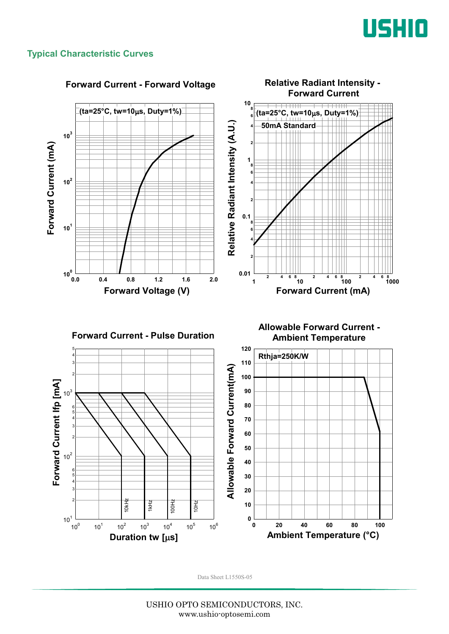

#### **Typical Characteristic Curves**

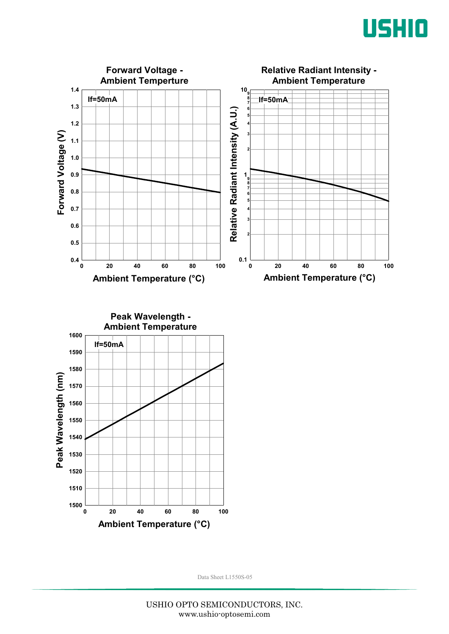



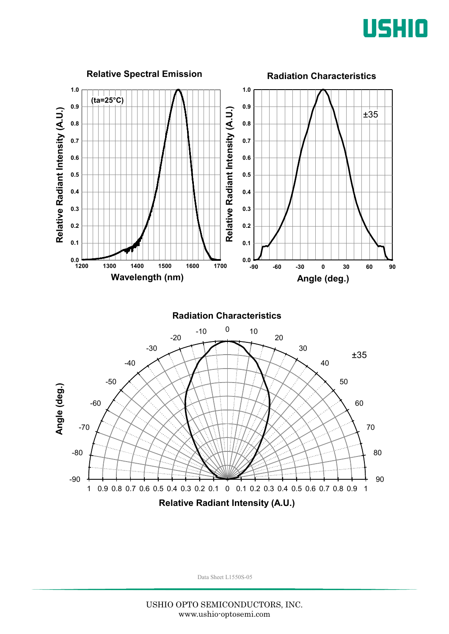